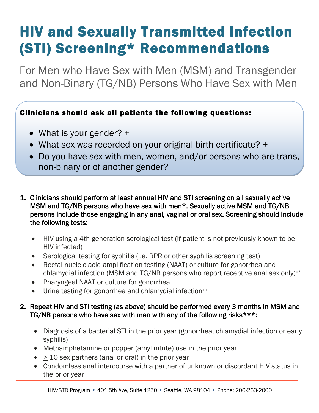## HIV and Sexually Transmitted Infection (STI) Screening\* Recommendations

For Men who Have Sex with Men (MSM) and Transgender and Non-Binary (TG/NB) Persons Who Have Sex with Men

## Clinicians should ask all patients the following questions:

- What is your gender? +
- What sex was recorded on your original birth certificate? +
- Do you have sex with men, women, and/or persons who are trans, non-binary or of another gender?
- 1. Clinicians should perform at least annual HIV and STI screening on all sexually active MSM and TG/NB persons who have sex with men\*. Sexually active MSM and TG/NB persons include those engaging in any anal, vaginal or oral sex. Screening should include the following tests:
	- HIV using a 4th generation serological test (if patient is not previously known to be HIV infected)
	- Serological testing for syphilis (i.e. RPR or other syphilis screening test)
	- Rectal nucleic acid amplification testing (NAAT) or culture for gonorrhea and chlamydial infection (MSM and TG/NB persons who report receptive anal sex only)\*\*
	- Pharyngeal NAAT or culture for gonorrhea
	- Urine testing for gonorrhea and chlamydial infection<sup>++</sup>

## 2. Repeat HIV and STI testing (as above) should be performed every 3 months in MSM and TG/NB persons who have sex with men with any of the following risks\*\*\*:

- Diagnosis of a bacterial STI in the prior year (gonorrhea, chlamydial infection or early syphilis)
- Methamphetamine or popper (amyl nitrite) use in the prior year
- $\bullet$  > 10 sex partners (anal or oral) in the prior year
- Condomless anal intercourse with a partner of unknown or discordant HIV status in the prior year